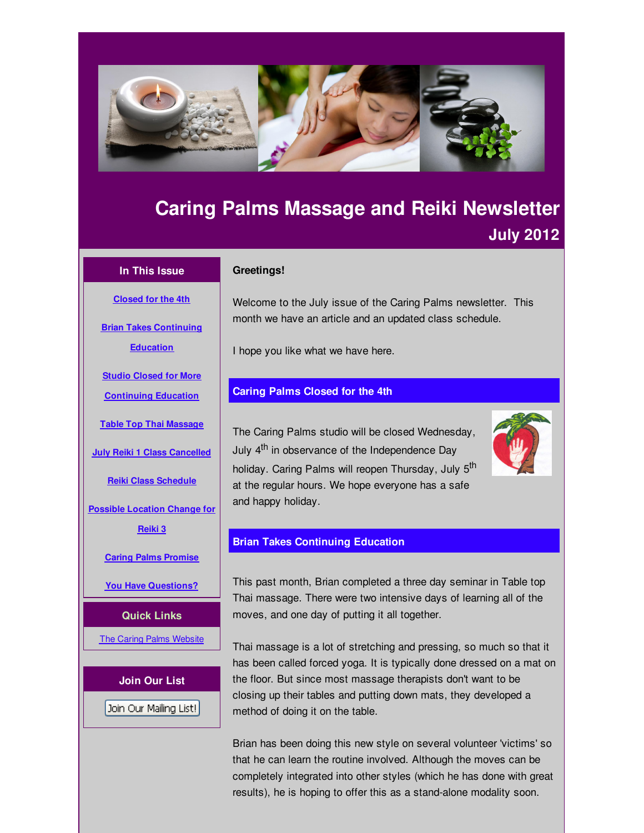<span id="page-0-0"></span>

# **Caring Palms Massage and Reiki Newsletter July 2012**

## **In This Issue**

**[Closed](#page-0-0) for the 4th**

**Brian Takes [Continuing](#page-0-0)**

**Education**

**Studio Closed for More**

**[Continuing](#page-0-0) Education**

**Table Top Thai [Massage](#page-0-0)**

**July Reiki 1 Class [Cancelled](#page-0-0)**

**Reiki Class [Schedule](#page-0-0)**

**Possible [Location](#page-0-0) Change for**

**Reiki 3**

**Caring Palms [Promise](#page-0-0)**

**You Have [Questions?](#page-0-0)**

**Quick Links**

**The Caring Palms [Website](http://r20.rs6.net/tn.jsp?f=001y1ltD-1ldJDzDiVwNHG-Es5HooYJqU2RTJRjSvwn_LiyjeQXwVNZuK_Hwz_dAh0gU0j38zH6r_SoM4DEZXn60gmlZJp0PzjpR6Y9qRRLsRwzvRBxup4GnuUcpM3fGFwNeGpFcFSc82CSEPW674krfcV8xuaCWKUow8tQOsiYqaw=&c=&ch=)** 

**Join Our List**

Join Our Mailing List!

# **Greetings!**

Welcome to the July issue of the Caring Palms newsletter. This month we have an article and an updated class schedule.

I hope you like what we have here.

# **Caring Palms Closed for the 4th**

The Caring Palms studio will be closed Wednesday, July 4<sup>th</sup> in observance of the Independence Day holiday. Caring Palms will reopen Thursday, July 5<sup>th</sup> at the regular hours. We hope everyone has a safe and happy holiday.



# **Brian Takes Continuing Education**

This past month, Brian completed a three day seminar in Table top Thai massage. There were two intensive days of learning all of the moves, and one day of putting it all together.

Thai massage is a lot of stretching and pressing, so much so that it has been called forced yoga. It is typically done dressed on a mat on the floor. But since most massage therapists don't want to be closing up their tables and putting down mats, they developed a method of doing it on the table.

Brian has been doing this new style on several volunteer 'victims' so that he can learn the routine involved. Although the moves can be completely integrated into other styles (which he has done with great results), he is hoping to offer this as a stand-alone modality soon.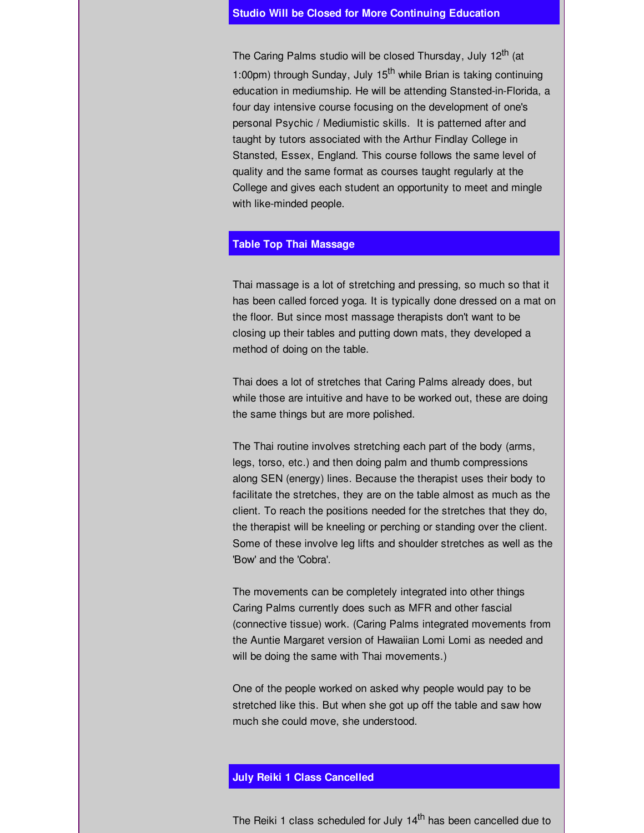#### **Studio Will be Closed for More Continuing Education**

The Caring Palms studio will be closed Thursday, July 12<sup>th</sup> (at 1:00pm) through Sunday, July 15<sup>th</sup> while Brian is taking continuing education in mediumship. He will be attending Stansted-in-Florida, a four day intensive course focusing on the development of one's personal Psychic / Mediumistic skills. It is patterned after and taught by tutors associated with the Arthur Findlay College in Stansted, Essex, England. This course follows the same level of quality and the same format as courses taught regularly at the College and gives each student an opportunity to meet and mingle with like-minded people.

## **Table Top Thai Massage**

Thai massage is a lot of stretching and pressing, so much so that it has been called forced yoga. It is typically done dressed on a mat on the floor. But since most massage therapists don't want to be closing up their tables and putting down mats, they developed a method of doing on the table.

Thai does a lot of stretches that Caring Palms already does, but while those are intuitive and have to be worked out, these are doing the same things but are more polished.

The Thai routine involves stretching each part of the body (arms, legs, torso, etc.) and then doing palm and thumb compressions along SEN (energy) lines. Because the therapist uses their body to facilitate the stretches, they are on the table almost as much as the client. To reach the positions needed for the stretches that they do, the therapist will be kneeling or perching or standing over the client. Some of these involve leg lifts and shoulder stretches as well as the 'Bow' and the 'Cobra'.

The movements can be completely integrated into other things Caring Palms currently does such as MFR and other fascial (connective tissue) work. (Caring Palms integrated movements from the Auntie Margaret version of Hawaiian Lomi Lomi as needed and will be doing the same with Thai movements.)

One of the people worked on asked why people would pay to be stretched like this. But when she got up off the table and saw how much she could move, she understood.

# **July Reiki 1 Class Cancelled**

The Reiki 1 class scheduled for July 14<sup>th</sup> has been cancelled due to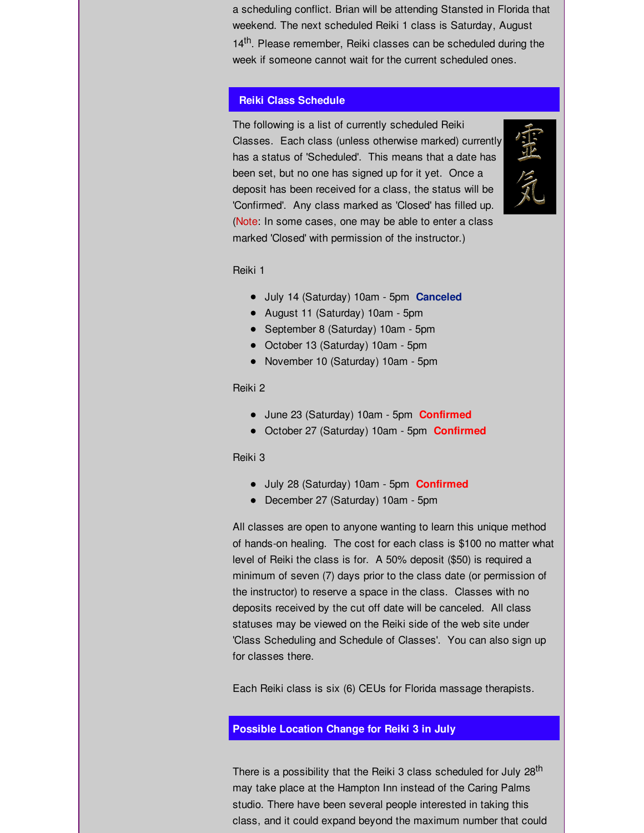a scheduling conflict. Brian will be attending Stansted in Florida that weekend. The next scheduled Reiki 1 class is Saturday, August 14<sup>th</sup>. Please remember, Reiki classes can be scheduled during the week if someone cannot wait for the current scheduled ones.

## **Reiki Class Schedule**

The following is a list of currently scheduled Reiki Classes. Each class (unless otherwise marked) currently has a status of 'Scheduled'. This means that a date has been set, but no one has signed up for it yet. Once a deposit has been received for a class, the status will be 'Confirmed'. Any class marked as 'Closed' has filled up. (Note: In some cases, one may be able to enter a class marked 'Closed' with permission of the instructor.)



Reiki 1

- July 14 (Saturday) 10am 5pm **Canceled**
- August 11 (Saturday) 10am 5pm
- September 8 (Saturday) 10am 5pm
- October 13 (Saturday) 10am 5pm
- November 10 (Saturday) 10am 5pm

## Reiki 2

- June 23 (Saturday) 10am 5pm **Confirmed**
- October 27 (Saturday) 10am 5pm **Confirmed**

#### Reiki 3

- July 28 (Saturday) 10am 5pm **Confirmed**
- December 27 (Saturday) 10am 5pm

All classes are open to anyone wanting to learn this unique method of hands-on healing. The cost for each class is \$100 no matter what level of Reiki the class is for. A 50% deposit (\$50) is required a minimum of seven (7) days prior to the class date (or permission of the instructor) to reserve a space in the class. Classes with no deposits received by the cut off date will be canceled. All class statuses may be viewed on the Reiki side of the web site under 'Class Scheduling and Schedule of Classes'. You can also sign up for classes there.

Each Reiki class is six (6) CEUs for Florida massage therapists.

# **Possible Location Change for Reiki 3 in July**

There is a possibility that the Reiki 3 class scheduled for July 28<sup>th</sup> may take place at the Hampton Inn instead of the Caring Palms studio. There have been several people interested in taking this class, and it could expand beyond the maximum number that could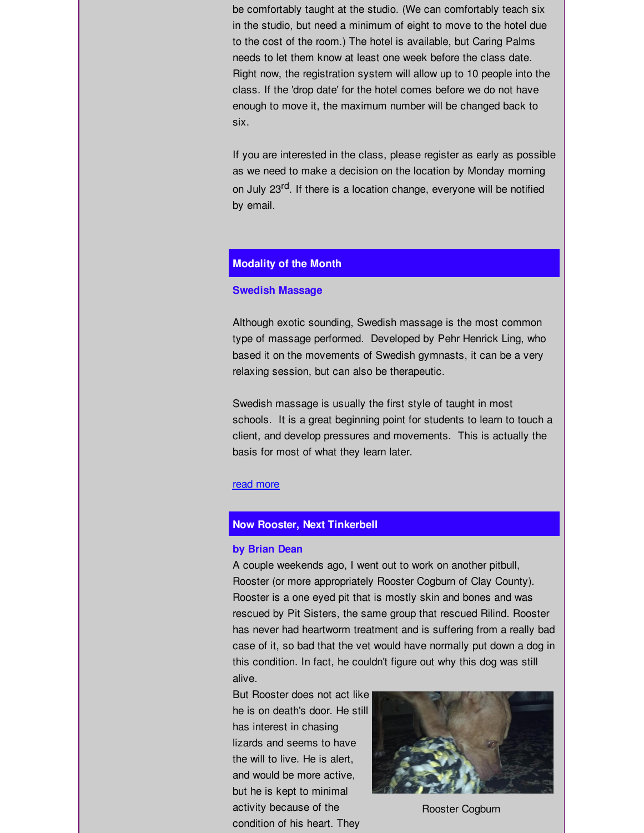be comfortably taught at the studio. (We can comfortably teach six in the studio, but need a minimum of eight to move to the hotel due to the cost of the room.) The hotel is available, but Caring Palms needs to let them know at least one week before the class date. Right now, the registration system will allow up to 10 people into the class. If the 'drop date' for the hotel comes before we do not have enough to move it, the maximum number will be changed back to six.

If you are interested in the class, please register as early as possible as we need to make a decision on the location by Monday morning on July 23<sup>rd</sup>. If there is a location change, everyone will be notified by email.

## **Modality of the Month**

#### **Swedish Massage**

Although exotic sounding, Swedish massage is the most common type of massage performed. Developed by Pehr Henrick Ling, who based it on the movements of Swedish gymnasts, it can be a very relaxing session, but can also be therapeutic.

Swedish massage is usually the first style of taught in most schools. It is a great beginning point for students to learn to touch a client, and develop pressures and movements. This is actually the basis for most of what they learn later.

## read [more](http://r20.rs6.net/tn.jsp?f=001y1ltD-1ldJDzDiVwNHG-Es5HooYJqU2RTJRjSvwn_LiyjeQXwVNZuNIQAq5qFL13lhHyGBU8BLLeHule41wc7uDGHR0wp5DsHY5TzdAYO3Tep6cqO0Y0dTeJ90OwU9B-39AMcxakuVBmQaB5IUUd87ra9k2lVffGaxIDGBTVUdVZMoVyz9N0u0u_NbXsDdF40uMWcXeTDFv6Z_upGi9BHg==&c=&ch=)

## **Now Rooster, Next Tinkerbell**

#### **by Brian Dean**

A couple weekends ago, I went out to work on another pitbull, Rooster (or more appropriately Rooster Cogburn of Clay County). Rooster is a one eyed pit that is mostly skin and bones and was rescued by Pit Sisters, the same group that rescued Rilind. Rooster has never had heartworm treatment and is suffering from a really bad case of it, so bad that the vet would have normally put down a dog in this condition. In fact, he couldn't figure out why this dog was still alive.

But Rooster does not act like he is on death's door. He still has interest in chasing lizards and seems to have the will to live. He is alert, and would be more active, but he is kept to minimal activity because of the condition of his heart. They



Rooster Cogburn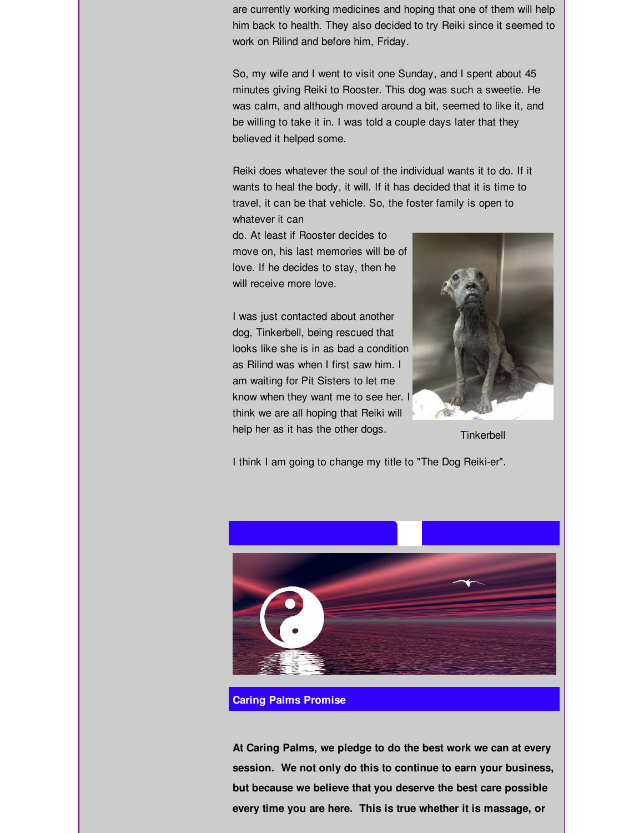are currently working medicines and hoping that one of them will help him back to health. They also decided to try Reiki since it seemed to work on Rilind and before him, Friday.

So, my wife and I went to visit one Sunday, and I spent about 45 minutes giving Reiki to Rooster. This dog was such a sweetie. He was calm, and although moved around a bit, seemed to like it, and be willing to take it in. I was told a couple days later that they believed it helped some.

Reiki does whatever the soul of the individual wants it to do. If it wants to heal the body, it will. If it has decided that it is time to travel, it can be that vehicle. So, the foster family is open to whatever it can

do. At least if Rooster decides to move on, his last memories will be of love. If he decides to stay, then he will receive more love.

I was just contacted about another dog, Tinkerbell, being rescued that looks like she is in as bad a condition as Rilind was when I first saw him. I am waiting for Pit Sisters to let me know when they want me to see her. I think we are all hoping that Reiki will help her as it has the other dogs.



**Tinkerbell** 

I think I am going to change my title to "The Dog Reiki-er".



## **Caring Palms Promise**

**At Caring Palms, we pledge to do the best work we can at every session. We not only do this to continue to earn your business, but because we believe that you deserve the best care possible every time you are here. This is true whether it is massage, or**